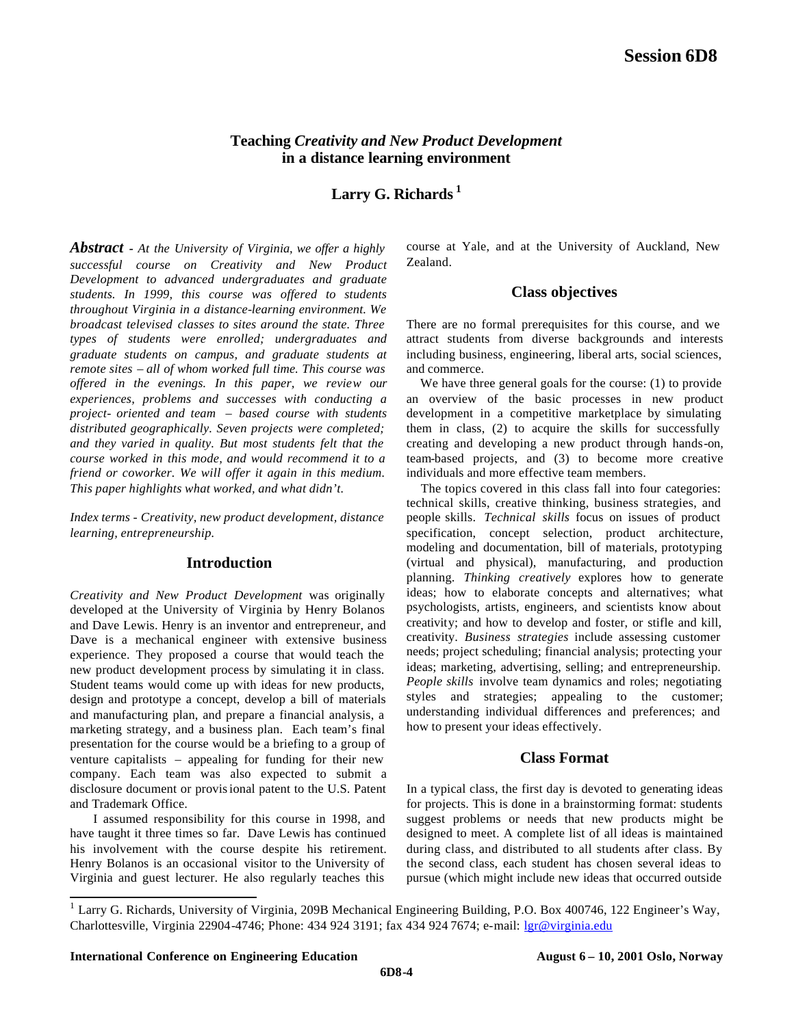# **Teaching** *Creativity and New Product Development* **in a distance learning environment**

**Larry G. Richards <sup>1</sup>**

*Abstract - At the University of Virginia, we offer a highly successful course on Creativity and New Product Development to advanced undergraduates and graduate students. In 1999, this course was offered to students throughout Virginia in a distance-learning environment. We broadcast televised classes to sites around the state. Three types of students were enrolled; undergraduates and graduate students on campus, and graduate students at remote sites – all of whom worked full time. This course was offered in the evenings. In this paper, we review our experiences, problems and successes with conducting a project- oriented and team – based course with students distributed geographically. Seven projects were completed; and they varied in quality. But most students felt that the course worked in this mode, and would recommend it to a friend or coworker. We will offer it again in this medium. This paper highlights what worked, and what didn't.*

*Index terms - Creativity, new product development, distance learning, entrepreneurship.*

# **Introduction**

*Creativity and New Product Development* was originally developed at the University of Virginia by Henry Bolanos and Dave Lewis. Henry is an inventor and entrepreneur, and Dave is a mechanical engineer with extensive business experience. They proposed a course that would teach the new product development process by simulating it in class. Student teams would come up with ideas for new products, design and prototype a concept, develop a bill of materials and manufacturing plan, and prepare a financial analysis, a marketing strategy, and a business plan. Each team's final presentation for the course would be a briefing to a group of venture capitalists – appealing for funding for their new company. Each team was also expected to submit a disclosure document or provisional patent to the U.S. Patent and Trademark Office.

I assumed responsibility for this course in 1998, and have taught it three times so far. Dave Lewis has continued his involvement with the course despite his retirement. Henry Bolanos is an occasional visitor to the University of Virginia and guest lecturer. He also regularly teaches this

course at Yale, and at the University of Auckland, New Zealand.

## **Class objectives**

There are no formal prerequisites for this course, and we attract students from diverse backgrounds and interests including business, engineering, liberal arts, social sciences, and commerce.

We have three general goals for the course: (1) to provide an overview of the basic processes in new product development in a competitive marketplace by simulating them in class, (2) to acquire the skills for successfully creating and developing a new product through hands-on, team-based projects, and (3) to become more creative individuals and more effective team members.

 The topics covered in this class fall into four categories: technical skills, creative thinking, business strategies, and people skills. *Technical skills* focus on issues of product specification, concept selection, product architecture, modeling and documentation, bill of materials, prototyping (virtual and physical), manufacturing, and production planning. *Thinking creatively* explores how to generate ideas; how to elaborate concepts and alternatives; what psychologists, artists, engineers, and scientists know about creativity; and how to develop and foster, or stifle and kill, creativity. *Business strategies* include assessing customer needs; project scheduling; financial analysis; protecting your ideas; marketing, advertising, selling; and entrepreneurship. *People skills* involve team dynamics and roles; negotiating styles and strategies; appealing to the customer; understanding individual differences and preferences; and how to present your ideas effectively.

# **Class Format**

In a typical class, the first day is devoted to generating ideas for projects. This is done in a brainstorming format: students suggest problems or needs that new products might be designed to meet. A complete list of all ideas is maintained during class, and distributed to all students after class. By the second class, each student has chosen several ideas to pursue (which might include new ideas that occurred outside

 1 Larry G. Richards, University of Virginia, 209B Mechanical Engineering Building, P.O. Box 400746, 122 Engineer's Way, Charlottesville, Virginia 22904-4746; Phone: 434 924 3191; fax 434 924 7674; e-mail: lgr@virginia.edu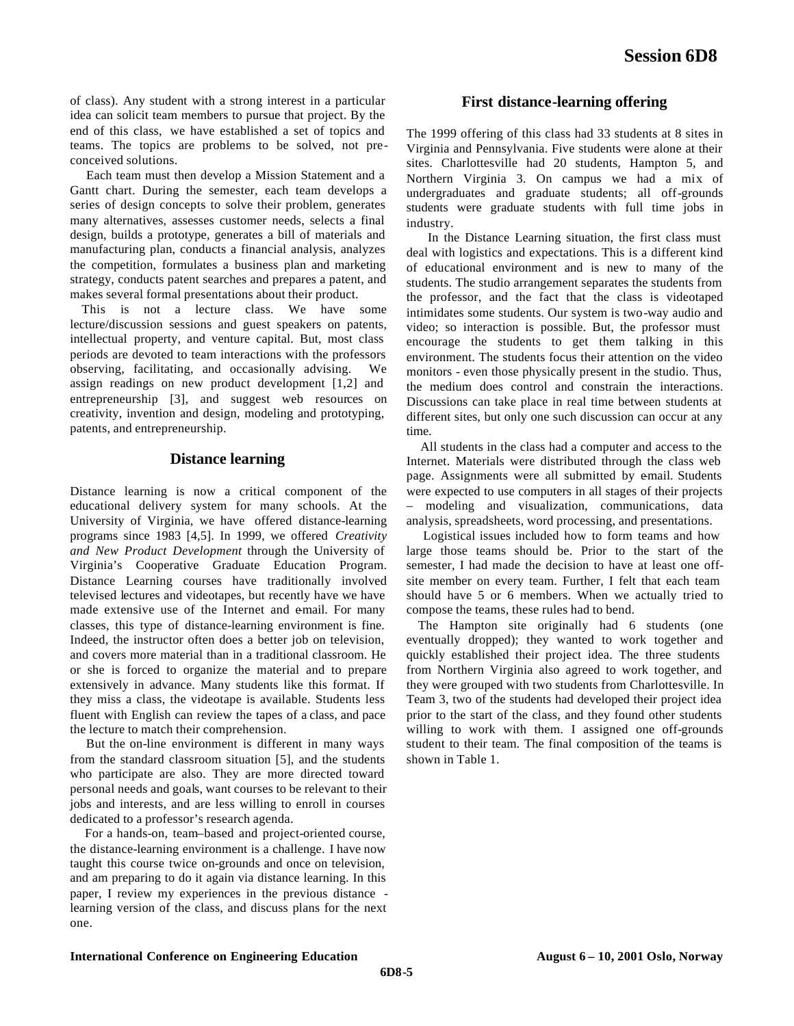of class). Any student with a strong interest in a particular idea can solicit team members to pursue that project. By the end of this class, we have established a set of topics and teams. The topics are problems to be solved, not preconceived solutions.

 Each team must then develop a Mission Statement and a Gantt chart. During the semester, each team develops a series of design concepts to solve their problem, generates many alternatives, assesses customer needs, selects a final design, builds a prototype, generates a bill of materials and manufacturing plan, conducts a financial analysis, analyzes the competition, formulates a business plan and marketing strategy, conducts patent searches and prepares a patent, and makes several formal presentations about their product.

 This is not a lecture class. We have some lecture/discussion sessions and guest speakers on patents, intellectual property, and venture capital. But, most class periods are devoted to team interactions with the professors observing, facilitating, and occasionally advising. We assign readings on new product development [1,2] and entrepreneurship [3], and suggest web resources on creativity, invention and design, modeling and prototyping, patents, and entrepreneurship.

## **Distance learning**

Distance learning is now a critical component of the educational delivery system for many schools. At the University of Virginia, we have offered distance-learning programs since 1983 [4,5]. In 1999, we offered *Creativity and New Product Development* through the University of Virginia's Cooperative Graduate Education Program. Distance Learning courses have traditionally involved televised lectures and videotapes, but recently have we have made extensive use of the Internet and e-mail. For many classes, this type of distance-learning environment is fine. Indeed, the instructor often does a better job on television, and covers more material than in a traditional classroom. He or she is forced to organize the material and to prepare extensively in advance. Many students like this format. If they miss a class, the videotape is available. Students less fluent with English can review the tapes of a class, and pace the lecture to match their comprehension.

 But the on-line environment is different in many ways from the standard classroom situation [5], and the students who participate are also. They are more directed toward personal needs and goals, want courses to be relevant to their jobs and interests, and are less willing to enroll in courses dedicated to a professor's research agenda.

 For a hands-on, team–based and project-oriented course, the distance-learning environment is a challenge. I have now taught this course twice on-grounds and once on television, and am preparing to do it again via distance learning. In this paper, I review my experiences in the previous distance learning version of the class, and discuss plans for the next one.

## **First distance-learning offering**

The 1999 offering of this class had 33 students at 8 sites in Virginia and Pennsylvania. Five students were alone at their sites. Charlottesville had 20 students, Hampton 5, and Northern Virginia 3. On campus we had a mix of undergraduates and graduate students; all off-grounds students were graduate students with full time jobs in industry.

 In the Distance Learning situation, the first class must deal with logistics and expectations. This is a different kind of educational environment and is new to many of the students. The studio arrangement separates the students from the professor, and the fact that the class is videotaped intimidates some students. Our system is two-way audio and video; so interaction is possible. But, the professor must encourage the students to get them talking in this environment. The students focus their attention on the video monitors - even those physically present in the studio. Thus, the medium does control and constrain the interactions. Discussions can take place in real time between students at different sites, but only one such discussion can occur at any time.

 All students in the class had a computer and access to the Internet. Materials were distributed through the class web page. Assignments were all submitted by email. Students were expected to use computers in all stages of their projects – modeling and visualization, communications, data analysis, spreadsheets, word processing, and presentations.

 Logistical issues included how to form teams and how large those teams should be. Prior to the start of the semester, I had made the decision to have at least one offsite member on every team. Further, I felt that each team should have 5 or 6 members. When we actually tried to compose the teams, these rules had to bend.

 The Hampton site originally had 6 students (one eventually dropped); they wanted to work together and quickly established their project idea. The three students from Northern Virginia also agreed to work together, and they were grouped with two students from Charlottesville. In Team 3, two of the students had developed their project idea prior to the start of the class, and they found other students willing to work with them. I assigned one off-grounds student to their team. The final composition of the teams is shown in Table 1.

#### **International Conference on Engineering Education August 6 – 10, 2001 Oslo, Norway**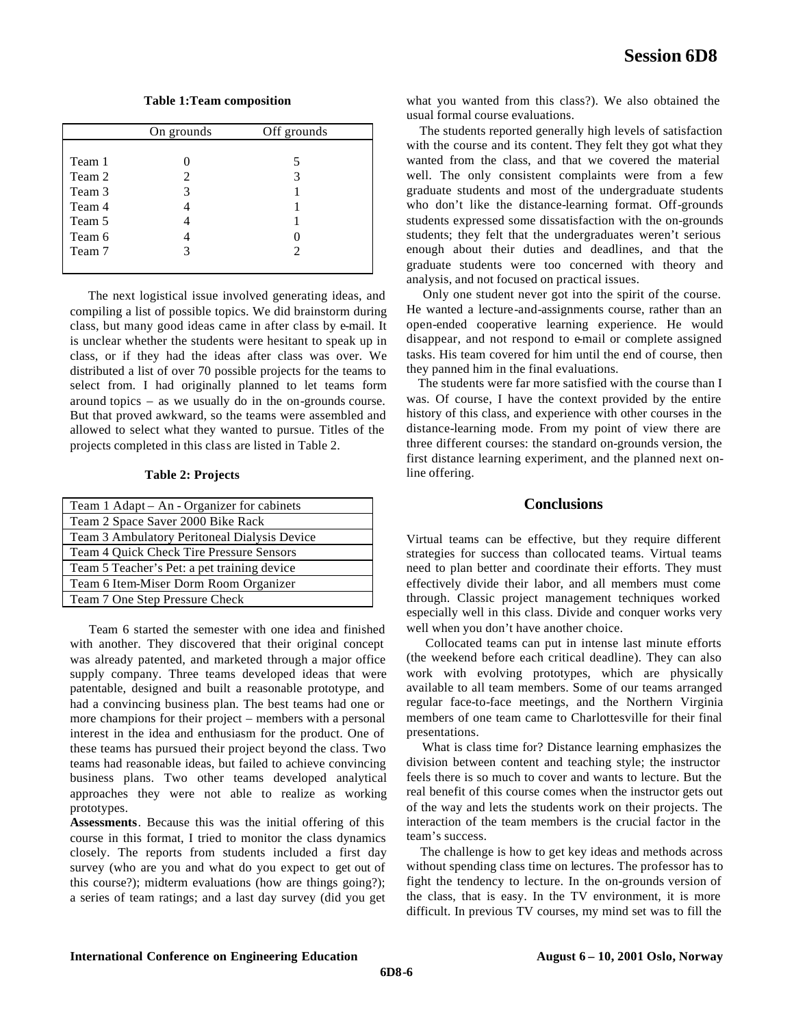**Table 1:Team composition** 

|        | On grounds | Off grounds |
|--------|------------|-------------|
|        |            |             |
| Team 1 |            | 5           |
| Team 2 | 2          | 3           |
| Team 3 | 3          |             |
| Team 4 |            |             |
| Team 5 |            |             |
| Team 6 |            |             |
| Team 7 | 3          | 2           |
|        |            |             |

 The next logistical issue involved generating ideas, and compiling a list of possible topics. We did brainstorm during class, but many good ideas came in after class by e-mail. It is unclear whether the students were hesitant to speak up in class, or if they had the ideas after class was over. We distributed a list of over 70 possible projects for the teams to select from. I had originally planned to let teams form around topics – as we usually do in the on-grounds course. But that proved awkward, so the teams were assembled and allowed to select what they wanted to pursue. Titles of the projects completed in this class are listed in Table 2.

#### **Table 2: Projects**

| Team 1 Adapt - An - Organizer for cabinets   |  |  |
|----------------------------------------------|--|--|
| Team 2 Space Saver 2000 Bike Rack            |  |  |
| Team 3 Ambulatory Peritoneal Dialysis Device |  |  |
| Team 4 Quick Check Tire Pressure Sensors     |  |  |
| Team 5 Teacher's Pet: a pet training device  |  |  |
| Team 6 Item-Miser Dorm Room Organizer        |  |  |
| Team 7 One Step Pressure Check               |  |  |

 Team 6 started the semester with one idea and finished with another. They discovered that their original concept was already patented, and marketed through a major office supply company. Three teams developed ideas that were patentable, designed and built a reasonable prototype, and had a convincing business plan. The best teams had one or more champions for their project – members with a personal interest in the idea and enthusiasm for the product. One of these teams has pursued their project beyond the class. Two teams had reasonable ideas, but failed to achieve convincing business plans. Two other teams developed analytical approaches they were not able to realize as working prototypes.

**Assessments**. Because this was the initial offering of this course in this format, I tried to monitor the class dynamics closely. The reports from students included a first day survey (who are you and what do you expect to get out of this course?); midterm evaluations (how are things going?); a series of team ratings; and a last day survey (did you get

what you wanted from this class?). We also obtained the usual formal course evaluations.

 The students reported generally high levels of satisfaction with the course and its content. They felt they got what they wanted from the class, and that we covered the material well. The only consistent complaints were from a few graduate students and most of the undergraduate students who don't like the distance-learning format. Off-grounds students expressed some dissatisfaction with the on-grounds students; they felt that the undergraduates weren't serious enough about their duties and deadlines, and that the graduate students were too concerned with theory and analysis, and not focused on practical issues.

 Only one student never got into the spirit of the course. He wanted a lecture-and-assignments course, rather than an open-ended cooperative learning experience. He would disappear, and not respond to e-mail or complete assigned tasks. His team covered for him until the end of course, then they panned him in the final evaluations.

 The students were far more satisfied with the course than I was. Of course, I have the context provided by the entire history of this class, and experience with other courses in the distance-learning mode. From my point of view there are three different courses: the standard on-grounds version, the first distance learning experiment, and the planned next online offering.

#### **Conclusions**

Virtual teams can be effective, but they require different strategies for success than collocated teams. Virtual teams need to plan better and coordinate their efforts. They must effectively divide their labor, and all members must come through. Classic project management techniques worked especially well in this class. Divide and conquer works very well when you don't have another choice.

 Collocated teams can put in intense last minute efforts (the weekend before each critical deadline). They can also work with evolving prototypes, which are physically available to all team members. Some of our teams arranged regular face-to-face meetings, and the Northern Virginia members of one team came to Charlottesville for their final presentations.

 What is class time for? Distance learning emphasizes the division between content and teaching style; the instructor feels there is so much to cover and wants to lecture. But the real benefit of this course comes when the instructor gets out of the way and lets the students work on their projects. The interaction of the team members is the crucial factor in the team's success.

 The challenge is how to get key ideas and methods across without spending class time on lectures. The professor has to fight the tendency to lecture. In the on-grounds version of the class, that is easy. In the TV environment, it is more difficult. In previous TV courses, my mind set was to fill the